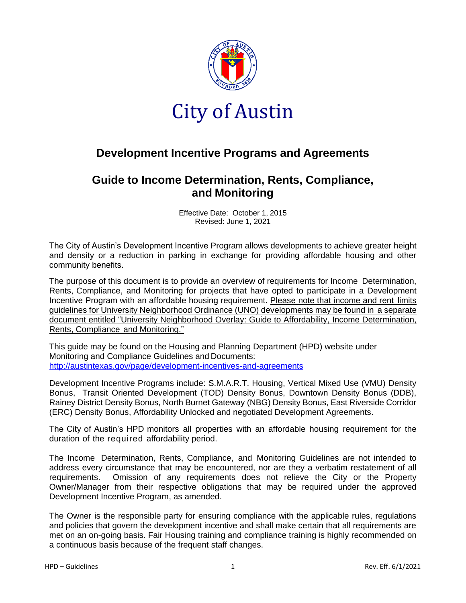

## **Development Incentive Programs and Agreements**

## **Guide to Income Determination, Rents, Compliance, and Monitoring**

Effective Date: October 1, 2015 Revised: June 1, 2021

The City of Austin's Development Incentive Program allows developments to achieve greater height and density or a reduction in parking in exchange for providing affordable housing and other community benefits.

The purpose of this document is to provide an overview of requirements for Income Determination, Rents, Compliance, and Monitoring for projects that have opted to participate in a Development Incentive Program with an affordable housing requirement. Please note that income and rent limits guidelines for University Neighborhood Ordinance (UNO) developments may be found in a separate document entitled "University Neighborhood Overlay: Guide to Affordability, Income Determination, Rents, Compliance and Monitoring."

This guide may be found on the Housing and Planning Department (HPD) website under Monitoring and Compliance Guidelines and Documents: <http://austintexas.gov/page/development-incentives-and-agreements>

Development Incentive Programs include: S.M.A.R.T. Housing, Vertical Mixed Use (VMU) Density Bonus, Transit Oriented Development (TOD) Density Bonus, Downtown Density Bonus (DDB), Rainey District Density Bonus, North Burnet Gateway (NBG) Density Bonus, East Riverside Corridor (ERC) Density Bonus, Affordability Unlocked and negotiated Development Agreements.

The City of Austin's HPD monitors all properties with an affordable housing requirement for the duration of the required affordability period.

The Income Determination, Rents, Compliance, and Monitoring Guidelines are not intended to address every circumstance that may be encountered, nor are they a verbatim restatement of all requirements. Omission of any requirements does not relieve the City or the Property Owner/Manager from their respective obligations that may be required under the approved Development Incentive Program, as amended.

The Owner is the responsible party for ensuring compliance with the applicable rules, regulations and policies that govern the development incentive and shall make certain that all requirements are met on an on-going basis. Fair Housing training and compliance training is highly recommended on a continuous basis because of the frequent staff changes.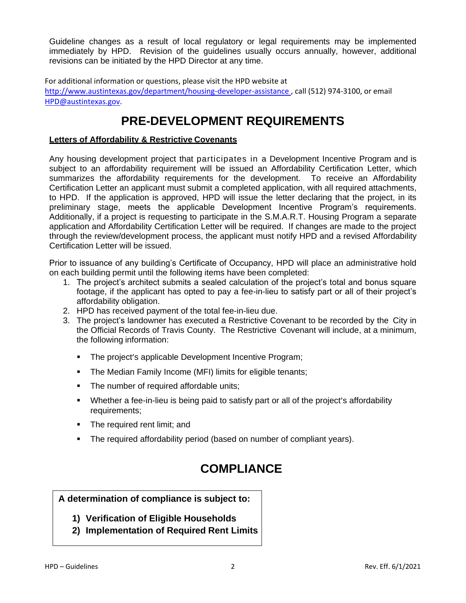Guideline changes as a result of local regulatory or legal requirements may be implemented immediately by HPD. Revision of the guidelines usually occurs annually, however, additional revisions can be initiated by the HPD Director at any time.

For additional information or questions, please visit the HPD website at http://www.austintexas.gov/department/housing-developer-assistance , call (512) 974-3100, or email [HPD@austintexas.gov.](mailto:HPD@austintexas.gov)

# **PRE-DEVELOPMENT REQUIREMENTS**

#### **Letters of Affordability & Restrictive Covenants**

Any housing development project that participates in a Development Incentive Program and is subiect to an affordability requirement will be issued an Affordability Certification Letter, which summarizes the affordability requirements for the development. To receive an Affordability Certification Letter an applicant must submit a completed application, with all required attachments, to HPD. If the application is approved, HPD will issue the letter declaring that the project, in its preliminary stage, meets the applicable Development Incentive Program's requirements. Additionally, if a project is requesting to participate in the S.M.A.R.T. Housing Program a separate application and Affordability Certification Letter will be required. If changes are made to the project through the review/development process, the applicant must notify HPD and a revised Affordability Certification Letter will be issued.

Prior to issuance of any building's Certificate of Occupancy, HPD will place an administrative hold on each building permit until the following items have been completed:

- 1. The project's architect submits a sealed calculation of the project's total and bonus square footage, if the applicant has opted to pay a fee-in-lieu to satisfy part or all of their project's affordability obligation.
- 2. HPD has received payment of the total fee-in-lieu due.
- 3. The project's landowner has executed a Restrictive Covenant to be recorded by the City in the Official Records of Travis County. The Restrictive Covenant will include, at a minimum, the following information:
	- The project's applicable Development Incentive Program;
	- **The Median Family Income (MFI) limits for eligible tenants;**
	- The number of required affordable units;
	- Whether a fee-in-lieu is being paid to satisfy part or all of the project's affordability requirements;
	- **•** The required rent limit; and
	- **•** The required affordability period (based on number of compliant years).

# **COMPLIANCE**

#### **A determination of compliance is subject to:**

- **1) Verification of Eligible Households**
- **2) Implementation of Required Rent Limits**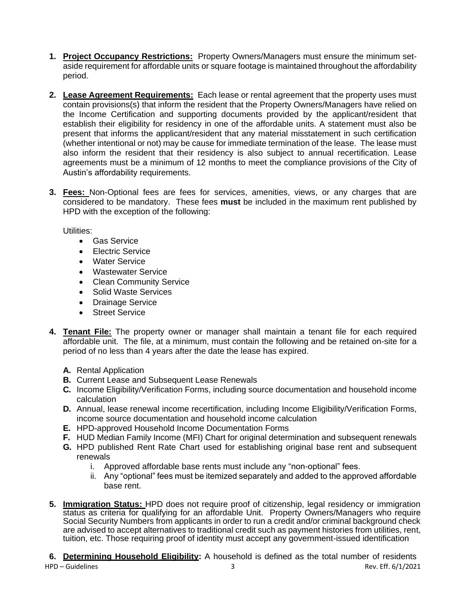- **1. Project Occupancy Restrictions:** Property Owners/Managers must ensure the minimum setaside requirement for affordable units or square footage is maintained throughout the affordability period.
- **2. Lease Agreement Requirements:** Each lease or rental agreement that the property uses must contain provisions(s) that inform the resident that the Property Owners/Managers have relied on the Income Certification and supporting documents provided by the applicant/resident that establish their eligibility for residency in one of the affordable units. A statement must also be present that informs the applicant/resident that any material misstatement in such certification (whether intentional or not) may be cause for immediate termination of the lease. The lease must also inform the resident that their residency is also subject to annual recertification. Lease agreements must be a minimum of 12 months to meet the compliance provisions of the City of Austin's affordability requirements.
- **3. Fees:** Non-Optional fees are fees for services, amenities, views, or any charges that are considered to be mandatory. These fees **must** be included in the maximum rent published by HPD with the exception of the following:

Utilities:

- Gas Service
- Electric Service
- Water Service
- Wastewater Service
- Clean Community Service
- Solid Waste Services
- Drainage Service
- Street Service
- **4. Tenant File:** The property owner or manager shall maintain a tenant file for each required affordable unit. The file, at a minimum, must contain the following and be retained on-site for a period of no less than 4 years after the date the lease has expired.
	- **A.** Rental Application
	- **B.** Current Lease and Subsequent Lease Renewals
	- **C.** Income Eligibility/Verification Forms, including source documentation and household income calculation
	- **D.** Annual, lease renewal income recertification, including Income Eligibility/Verification Forms, income source documentation and household income calculation
	- **E.** HPD-approved Household Income Documentation Forms
	- **F.** HUD Median Family Income (MFI) Chart for original determination and subsequent renewals
	- **G.** HPD published Rent Rate Chart used for establishing original base rent and subsequent renewals
		- i. Approved affordable base rents must include any "non-optional" fees.
		- ii. Any "optional" fees must be itemized separately and added to the approved affordable base rent.
- **5. Immigration Status:** HPD does not require proof of citizenship, legal residency or immigration status as criteria for qualifying for an affordable Unit. Property Owners/Managers who require Social Security Numbers from applicants in order to run a credit and/or criminal background check are advised to accept alternatives to traditional credit such as payment histories from utilities, rent, tuition, etc. Those requiring proof of identity must accept any government-issued identification
- HPD Guidelines 3 Rev. Eff. 6/1/2021 **6. Determining Household Eligibility:** A household is defined as the total number of residents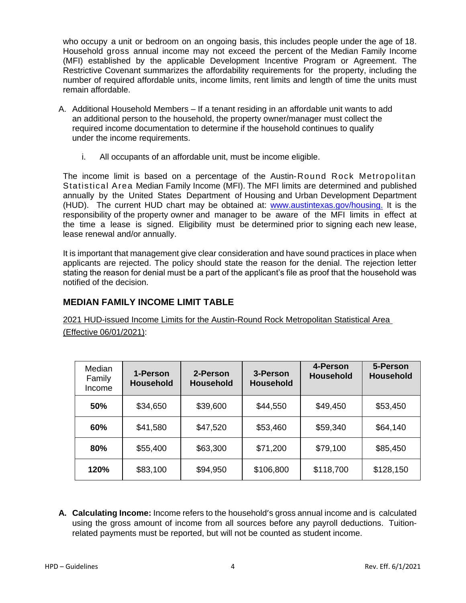who occupy a unit or bedroom on an ongoing basis, this includes people under the age of 18. Household gross annual income may not exceed the percent of the Median Family Income (MFI) established by the applicable Development Incentive Program or Agreement. The Restrictive Covenant summarizes the affordability requirements for the property, including the number of required affordable units, income limits, rent limits and length of time the units must remain affordable.

- A. Additional Household Members If a tenant residing in an affordable unit wants to add an additional person to the household, the property owner/manager must collect the required income documentation to determine if the household continues to qualify under the income requirements.
	- i. All occupants of an affordable unit, must be income eligible.

The income limit is based on a percentage of the Austin-Round Rock Metropolitan Statistical Area Median Family Income (MFI). The MFI limits are determined and published annually by the United States Department of Housing and Urban Development Department (HUD). The current HUD chart may be obtained at: [www.austintexas.gov/housing.](http://www.austintexas.gov/housing) It is the responsibility of the property owner and manager to be aware of the MFI limits in effect at the time a lease is signed. Eligibility must be determined prior to signing each new lease, lease renewal and/or annually.

It is important that management give clear consideration and have sound practices in place when applicants are rejected. The policy should state the reason for the denial. The rejection letter stating the reason for denial must be a part of the applicant's file as proof that the household was notified of the decision.

## **MEDIAN FAMILY INCOME LIMIT TABLE**

2021 HUD-issued Income Limits for the Austin-Round Rock Metropolitan Statistical Area (Effective 06/01/2021):

| Median<br>Family<br>Income | 1-Person<br><b>Household</b> | 2-Person<br><b>Household</b> | 3-Person<br><b>Household</b> | 4-Person<br><b>Household</b> | 5-Person<br><b>Household</b> |
|----------------------------|------------------------------|------------------------------|------------------------------|------------------------------|------------------------------|
| 50%                        | \$34,650                     | \$39,600                     | \$44,550                     | \$49,450                     | \$53,450                     |
| 60%                        | \$41,580                     | \$47,520                     | \$53,460                     | \$59,340                     | \$64,140                     |
| 80%                        | \$55,400                     | \$63,300                     | \$71,200                     | \$79,100                     | \$85,450                     |
| 120%                       | \$83,100                     | \$94,950                     | \$106,800                    | \$118,700                    | \$128,150                    |

**A. Calculating Income:** Income refers to the household's gross annual income and is calculated using the gross amount of income from all sources before any payroll deductions. Tuitionrelated payments must be reported, but will not be counted as student income.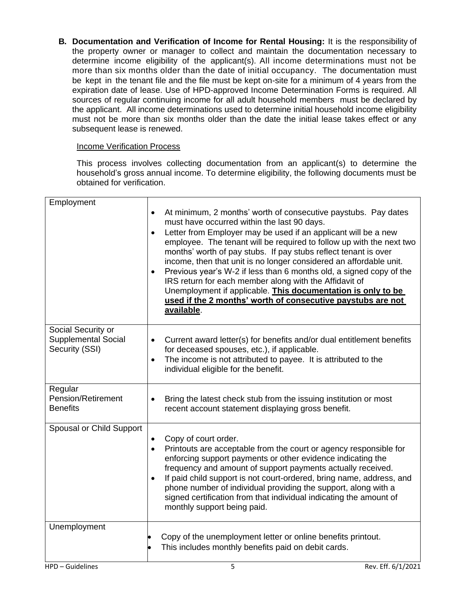**B. Documentation and Verification of Income for Rental Housing:** It is the responsibility of the property owner or manager to collect and maintain the documentation necessary to determine income eligibility of the applicant(s). All income determinations must not be more than six months older than the date of initial occupancy. The documentation must be kept in the tenant file and the file must be kept on-site for a minimum of 4 years from the expiration date of lease. Use of HPD-approved Income Determination Forms is required. All sources of regular continuing income for all adult household members must be declared by the applicant. All income determinations used to determine initial household income eligibility must not be more than six months older than the date the initial lease takes effect or any subsequent lease is renewed.

### Income Verification Process

This process involves collecting documentation from an applicant(s) to determine the household's gross annual income. To determine eligibility, the following documents must be obtained for verification.

| Employment                                                         |                                                                                                                                                                                                                                                                                                                                                                                                                                                                                                                                                                                                                                                                                                                       |
|--------------------------------------------------------------------|-----------------------------------------------------------------------------------------------------------------------------------------------------------------------------------------------------------------------------------------------------------------------------------------------------------------------------------------------------------------------------------------------------------------------------------------------------------------------------------------------------------------------------------------------------------------------------------------------------------------------------------------------------------------------------------------------------------------------|
|                                                                    | At minimum, 2 months' worth of consecutive paystubs. Pay dates<br>$\bullet$<br>must have occurred within the last 90 days.<br>Letter from Employer may be used if an applicant will be a new<br>$\bullet$<br>employee. The tenant will be required to follow up with the next two<br>months' worth of pay stubs. If pay stubs reflect tenant is over<br>income, then that unit is no longer considered an affordable unit.<br>Previous year's W-2 if less than 6 months old, a signed copy of the<br>$\bullet$<br>IRS return for each member along with the Affidavit of<br>Unemployment if applicable. This documentation is only to be<br>used if the 2 months' worth of consecutive paystubs are not<br>available. |
| Social Security or<br><b>Supplemental Social</b><br>Security (SSI) | Current award letter(s) for benefits and/or dual entitlement benefits<br>$\bullet$<br>for deceased spouses, etc.), if applicable.<br>The income is not attributed to payee. It is attributed to the<br>$\bullet$<br>individual eligible for the benefit.                                                                                                                                                                                                                                                                                                                                                                                                                                                              |
| Regular<br>Pension/Retirement<br><b>Benefits</b>                   | Bring the latest check stub from the issuing institution or most<br>$\bullet$<br>recent account statement displaying gross benefit.                                                                                                                                                                                                                                                                                                                                                                                                                                                                                                                                                                                   |
| Spousal or Child Support                                           | Copy of court order.<br>$\bullet$<br>Printouts are acceptable from the court or agency responsible for<br>$\bullet$<br>enforcing support payments or other evidence indicating the<br>frequency and amount of support payments actually received.<br>If paid child support is not court-ordered, bring name, address, and<br>$\bullet$<br>phone number of individual providing the support, along with a<br>signed certification from that individual indicating the amount of<br>monthly support being paid.                                                                                                                                                                                                         |
| Unemployment                                                       | Copy of the unemployment letter or online benefits printout.<br>This includes monthly benefits paid on debit cards.                                                                                                                                                                                                                                                                                                                                                                                                                                                                                                                                                                                                   |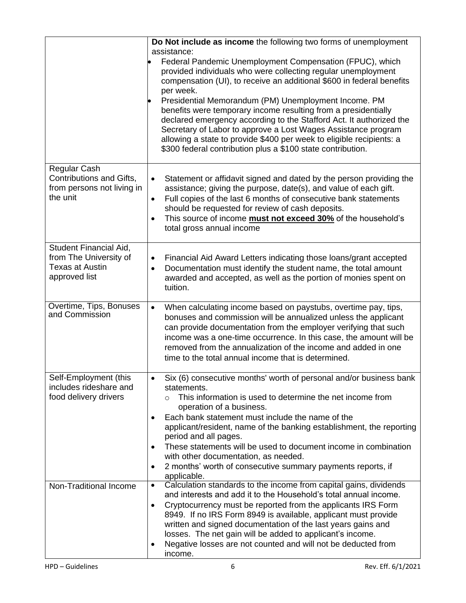|                                                                                             | Do Not include as income the following two forms of unemployment<br>assistance:<br>Federal Pandemic Unemployment Compensation (FPUC), which<br>provided individuals who were collecting regular unemployment<br>compensation (UI), to receive an additional \$600 in federal benefits<br>per week.<br>Presidential Memorandum (PM) Unemployment Income. PM<br>benefits were temporary income resulting from a presidentially<br>declared emergency according to the Stafford Act. It authorized the<br>Secretary of Labor to approve a Lost Wages Assistance program<br>allowing a state to provide \$400 per week to eligible recipients: a |
|---------------------------------------------------------------------------------------------|----------------------------------------------------------------------------------------------------------------------------------------------------------------------------------------------------------------------------------------------------------------------------------------------------------------------------------------------------------------------------------------------------------------------------------------------------------------------------------------------------------------------------------------------------------------------------------------------------------------------------------------------|
| Regular Cash<br>Contributions and Gifts,<br>from persons not living in<br>the unit          | \$300 federal contribution plus a \$100 state contribution.<br>Statement or affidavit signed and dated by the person providing the<br>$\bullet$<br>assistance; giving the purpose, date(s), and value of each gift.<br>Full copies of the last 6 months of consecutive bank statements<br>$\bullet$<br>should be requested for review of cash deposits.<br>This source of income <b>must not exceed 30%</b> of the household's<br>$\bullet$<br>total gross annual income                                                                                                                                                                     |
| Student Financial Aid,<br>from The University of<br><b>Texas at Austin</b><br>approved list | Financial Aid Award Letters indicating those loans/grant accepted<br>$\bullet$<br>Documentation must identify the student name, the total amount<br>$\bullet$<br>awarded and accepted, as well as the portion of monies spent on<br>tuition.                                                                                                                                                                                                                                                                                                                                                                                                 |
| Overtime, Tips, Bonuses<br>and Commission                                                   | When calculating income based on paystubs, overtime pay, tips,<br>$\bullet$<br>bonuses and commission will be annualized unless the applicant<br>can provide documentation from the employer verifying that such<br>income was a one-time occurrence. In this case, the amount will be<br>removed from the annualization of the income and added in one<br>time to the total annual income that is determined.                                                                                                                                                                                                                               |
| Self-Employment (this<br>includes rideshare and<br>food delivery drivers                    | Six (6) consecutive months' worth of personal and/or business bank<br>statements.<br>This information is used to determine the net income from<br>$\Omega$<br>operation of a business.<br>Each bank statement must include the name of the<br>$\bullet$<br>applicant/resident, name of the banking establishment, the reporting<br>period and all pages.<br>These statements will be used to document income in combination<br>$\bullet$<br>with other documentation, as needed.<br>2 months' worth of consecutive summary payments reports, if<br>$\bullet$<br>applicable.                                                                  |
| Non-Traditional Income                                                                      | Calculation standards to the income from capital gains, dividends<br>$\bullet$<br>and interests and add it to the Household's total annual income.<br>Cryptocurrency must be reported from the applicants IRS Form<br>$\bullet$<br>8949. If no IRS Form 8949 is available, applicant must provide<br>written and signed documentation of the last years gains and<br>losses. The net gain will be added to applicant's income.<br>Negative losses are not counted and will not be deducted from<br>$\bullet$<br>income.                                                                                                                      |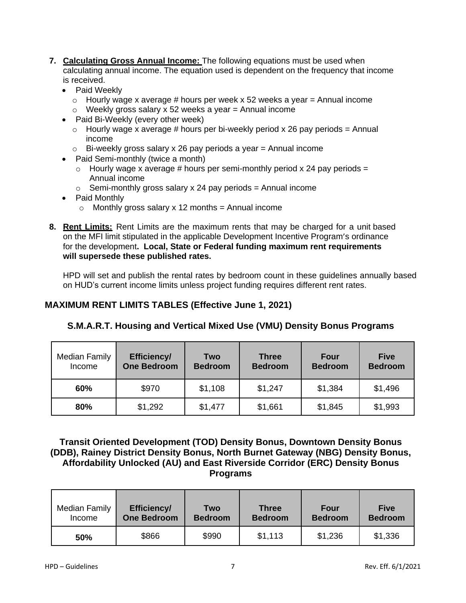- **7. Calculating Gross Annual Income:** The following equations must be used when calculating annual income. The equation used is dependent on the frequency that income is received.
	- Paid Weekly
		- $\circ$  Hourly wage x average # hours per week x 52 weeks a year = Annual income
		- $\circ$  Weekly gross salary x 52 weeks a year = Annual income
	- Paid Bi-Weekly (every other week)
		- $\circ$  Hourly wage x average # hours per bi-weekly period x 26 pay periods = Annual income
		- $\circ$  Bi-weekly gross salary x 26 pay periods a year = Annual income
	- Paid Semi-monthly (twice a month)
		- $\circ$  Hourly wage x average # hours per semi-monthly period x 24 pay periods = Annual income
		- $\circ$  Semi-monthly gross salary x 24 pay periods = Annual income
	- Paid Monthly
		- $\circ$  Monthly gross salary x 12 months = Annual income
- **8. Rent Limits:** Rent Limits are the maximum rents that may be charged for a unit based on the MFI limit stipulated in the applicable Development Incentive Program's ordinance for the development**. Local, State or Federal funding maximum rent requirements will supersede these published rates.**

HPD will set and publish the rental rates by bedroom count in these guidelines annually based on HUD's current income limits unless project funding requires different rent rates.

## **MAXIMUM RENT LIMITS TABLES (Effective June 1, 2021)**

| <b>Median Family</b> | <b>Efficiency/</b> | <b>Two</b>     | <b>Three</b>   | Four           | <b>Five</b>    |
|----------------------|--------------------|----------------|----------------|----------------|----------------|
| Income               | <b>One Bedroom</b> | <b>Bedroom</b> | <b>Bedroom</b> | <b>Bedroom</b> | <b>Bedroom</b> |

**60%** | \$970 | \$1,108 | \$1,247 | \$1,384 | \$1,496

**80%** | \$1,292 | \$1,477 | \$1,661 | \$1,845 | \$1,993

### **S.M.A.R.T. Housing and Vertical Mixed Use (VMU) Density Bonus Programs**

**Transit Oriented Development (TOD) Density Bonus, Downtown Density Bonus (DDB), Rainey District Density Bonus, North Burnet Gateway (NBG) Density Bonus, Affordability Unlocked (AU) and East Riverside Corridor (ERC) Density Bonus Programs**

| Median Family | Efficiency/        | Two            | <b>Three</b>   | <b>Four</b>    | <b>Five</b>    |
|---------------|--------------------|----------------|----------------|----------------|----------------|
| Income        | <b>One Bedroom</b> | <b>Bedroom</b> | <b>Bedroom</b> | <b>Bedroom</b> | <b>Bedroom</b> |
| 50%           | \$866              | \$990          | \$1,113        | \$1,236        | \$1,336        |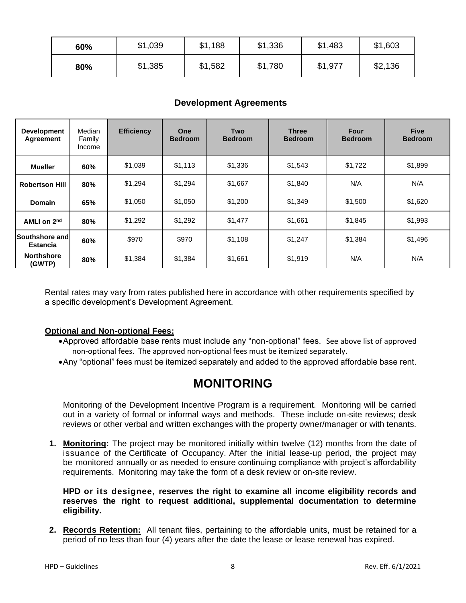| 60% | \$1,039 | \$1,188 | \$1,336 | \$1,483 | \$1,603 |
|-----|---------|---------|---------|---------|---------|
| 80% | \$1,385 | \$1,582 | \$1,780 | \$1,977 | \$2,136 |

## **Development Agreements**

| <b>Development</b><br><b>Agreement</b>     | Median<br>Family<br>Income | <b>Efficiency</b> | One<br><b>Bedroom</b> | Two<br><b>Bedroom</b> | <b>Three</b><br><b>Bedroom</b> | Four<br><b>Bedroom</b> | <b>Five</b><br><b>Bedroom</b> |
|--------------------------------------------|----------------------------|-------------------|-----------------------|-----------------------|--------------------------------|------------------------|-------------------------------|
| <b>Mueller</b>                             | 60%                        | \$1,039           | \$1,113               | \$1,336               | \$1,543                        | \$1,722                | \$1,899                       |
| <b>Robertson Hill</b>                      | 80%                        | \$1,294           | \$1,294               | \$1,667               | \$1,840                        | N/A                    | N/A                           |
| <b>Domain</b>                              | 65%                        | \$1,050           | \$1,050               | \$1,200               | \$1,349                        | \$1,500                | \$1,620                       |
| AMLI on 2 <sup>nd</sup>                    | 80%                        | \$1,292           | \$1,292               | \$1,477               | \$1,661                        | \$1,845                | \$1,993                       |
| <b>Southshore and l</b><br><b>Estancia</b> | 60%                        | \$970             | \$970                 | \$1,108               | \$1,247                        | \$1,384                | \$1,496                       |
| <b>Northshore</b><br>(GWTP)                | 80%                        | \$1,384           | \$1,384               | \$1,661               | \$1,919                        | N/A                    | N/A                           |

Rental rates may vary from rates published here in accordance with other requirements specified by a specific development's Development Agreement.

#### **Optional and Non-optional Fees:**

- •Approved affordable base rents must include any "non-optional" fees. See above list of approved non-optional fees. The approved non-optional fees must be itemized separately.
- •Any "optional" fees must be itemized separately and added to the approved affordable base rent.

## **MONITORING**

Monitoring of the Development Incentive Program is a requirement. Monitoring will be carried out in a variety of formal or informal ways and methods. These include on-site reviews; desk reviews or other verbal and written exchanges with the property owner/manager or with tenants.

**1. Monitoring:** The project may be monitored initially within twelve (12) months from the date of issuance of the Certificate of Occupancy. After the initial lease-up period, the project may be monitored annually or as needed to ensure continuing compliance with project's affordability requirements. Monitoring may take the form of a desk review or on-site review.

**HPD or its designee, reserves the right to examine all income eligibility records and reserves the right to request additional, supplemental documentation to determine eligibility.**

**2. Records Retention:** All tenant files, pertaining to the affordable units, must be retained for a period of no less than four (4) years after the date the lease or lease renewal has expired.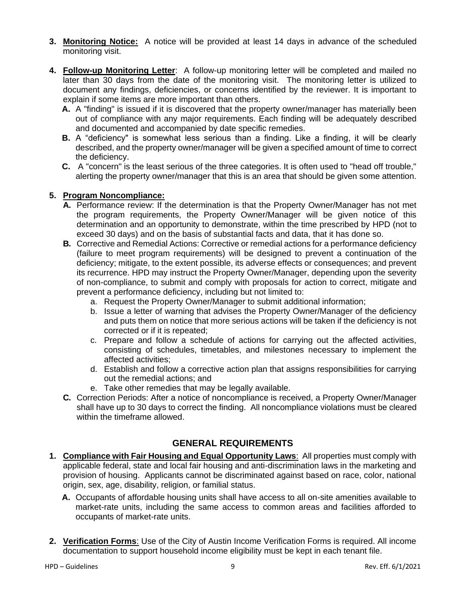- **3. Monitoring Notice:** A notice will be provided at least 14 days in advance of the scheduled monitoring visit.
- **4. Follow-up Monitoring Letter**: A follow-up monitoring letter will be completed and mailed no later than 30 days from the date of the monitoring visit. The monitoring letter is utilized to document any findings, deficiencies, or concerns identified by the reviewer. It is important to explain if some items are more important than others.
	- **A.** A "finding" is issued if it is discovered that the property owner/manager has materially been out of compliance with any major requirements. Each finding will be adequately described and documented and accompanied by date specific remedies.
	- **B.** A "deficiency" is somewhat less serious than a finding. Like a finding, it will be clearly described, and the property owner/manager will be given a specified amount of time to correct the deficiency.
	- **C.** A "concern" is the least serious of the three categories. It is often used to "head off trouble," alerting the property owner/manager that this is an area that should be given some attention.

#### **5. Program Noncompliance:**

- **A.** Performance review: If the determination is that the Property Owner/Manager has not met the program requirements, the Property Owner/Manager will be given notice of this determination and an opportunity to demonstrate, within the time prescribed by HPD (not to exceed 30 days) and on the basis of substantial facts and data, that it has done so.
- **B.** Corrective and Remedial Actions: Corrective or remedial actions for a performance deficiency (failure to meet program requirements) will be designed to prevent a continuation of the deficiency; mitigate, to the extent possible, its adverse effects or consequences; and prevent its recurrence. HPD may instruct the Property Owner/Manager, depending upon the severity of non-compliance, to submit and comply with proposals for action to correct, mitigate and prevent a performance deficiency, including but not limited to:
	- a. Request the Property Owner/Manager to submit additional information;
	- b. Issue a letter of warning that advises the Property Owner/Manager of the deficiency and puts them on notice that more serious actions will be taken if the deficiency is not corrected or if it is repeated;
	- c. Prepare and follow a schedule of actions for carrying out the affected activities, consisting of schedules, timetables, and milestones necessary to implement the affected activities;
	- d. Establish and follow a corrective action plan that assigns responsibilities for carrying out the remedial actions; and
	- e. Take other remedies that may be legally available.
- **C.** Correction Periods: After a notice of noncompliance is received, a Property Owner/Manager shall have up to 30 days to correct the finding. All noncompliance violations must be cleared within the timeframe allowed.

### **GENERAL REQUIREMENTS**

- **1. Compliance with Fair Housing and Equal Opportunity Laws**: All properties must comply with applicable federal, state and local fair housing and anti-discrimination laws in the marketing and provision of housing. Applicants cannot be discriminated against based on race, color, national origin, sex, age, disability, religion, or familial status.
	- **A.** Occupants of affordable housing units shall have access to all on-site amenities available to market-rate units, including the same access to common areas and facilities afforded to occupants of market-rate units.
- **2. Verification Forms**: Use of the City of Austin Income Verification Forms is required. All income documentation to support household income eligibility must be kept in each tenant file.